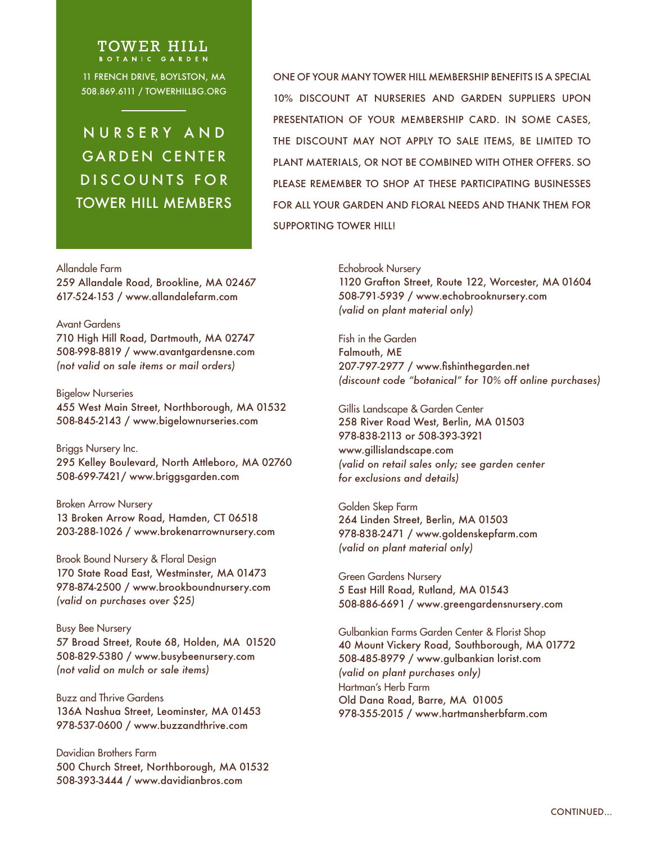